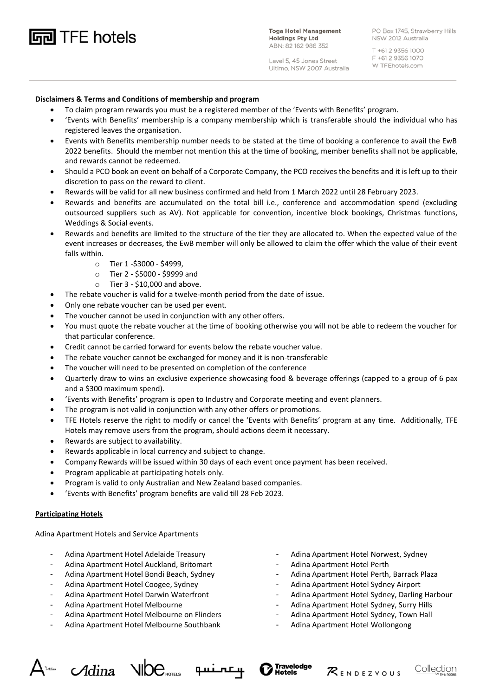**hotels** TFE hotels

**Toga Hotel Management Holdings Pty Ltd** ABN: 82 162 986 352

PO Box 1745, Strawberry Hills NSW 2012 Australia

Level 5, 45 Jones Street Ultimo, NSW 2007 Australia

T +61 2 9356 1000 F +61 2 9356 1070 W TFEhotels.com

# **Disclaimers & Terms and Conditions of membership and program**

- To claim program rewards you must be a registered member of the 'Events with Benefits' program.
- 'Events with Benefits' membership is a company membership which is transferable should the individual who has registered leaves the organisation.
- Events with Benefits membership number needs to be stated at the time of booking a conference to avail the EwB 2022 benefits. Should the member not mention this at the time of booking, member benefits shall not be applicable, and rewards cannot be redeemed.
- Should a PCO book an event on behalf of a Corporate Company, the PCO receives the benefits and it is left up to their discretion to pass on the reward to client.
- Rewards will be valid for all new business confirmed and held from 1 March 2022 until 28 February 2023.
- Rewards and benefits are accumulated on the total bill i.e., conference and accommodation spend (excluding outsourced suppliers such as AV). Not applicable for convention, incentive block bookings, Christmas functions, Weddings & Social events.
- Rewards and benefits are limited to the structure of the tier they are allocated to. When the expected value of the event increases or decreases, the EwB member will only be allowed to claim the offer which the value of their event falls within.
	- o Tier 1 -\$3000 \$4999,
	- o Tier 2 \$5000 \$9999 and
	- o Tier 3 \$10,000 and above.
- The rebate voucher is valid for a twelve-month period from the date of issue.
- Only one rebate voucher can be used per event.
- The voucher cannot be used in conjunction with any other offers.
- You must quote the rebate voucher at the time of booking otherwise you will not be able to redeem the voucher for that particular conference.
- Credit cannot be carried forward for events below the rebate voucher value.
- The rebate voucher cannot be exchanged for money and it is non-transferable
- The voucher will need to be presented on completion of the conference
- Quarterly draw to wins an exclusive experience showcasing food & beverage offerings (capped to a group of 6 pax and a \$300 maximum spend).
- 'Events with Benefits' program is open to Industry and Corporate meeting and event planners.
- The program is not valid in conjunction with any other offers or promotions.
- TFE Hotels reserve the right to modify or cancel the 'Events with Benefits' program at any time. Additionally, TFE Hotels may remove users from the program, should actions deem it necessary.
- Rewards are subject to availability.
- Rewards applicable in local currency and subject to change.
- Company Rewards will be issued within 30 days of each event once payment has been received.
- Program applicable at participating hotels only.
- Program is valid to only Australian and New Zealand based companies.
- 'Events with Benefits' program benefits are valid till 28 Feb 2023.

## **Participating Hotels**

#### Adina Apartment Hotels and Service Apartments

- Adina Apartment Hotel Adelaide Treasury
- Adina Apartment Hotel Auckland, Britomart
- Adina Apartment Hotel Bondi Beach, Sydney
- Adina Apartment Hotel Coogee, Sydney
- Adina Apartment Hotel Darwin Waterfront
- Adina Apartment Hotel Melbourne
- Adina Apartment Hotel Melbourne on Flinders
- Adina Apartment Hotel Melbourne Southbank
- Adina Apartment Hotel Norwest, Sydney
- Adina Apartment Hotel Perth
- Adina Apartment Hotel Perth, Barrack Plaza
- Adina Apartment Hotel Sydney Airport
- Adina Apartment Hotel Sydney, Darling Harbour
- Adina Apartment Hotel Sydney, Surry Hills<br>- Adina Apartment Hotel Sydney, Town Holl
- Adina Apartment Hotel Sydney, Town Hall
- Adina Apartment Hotel Wollongong









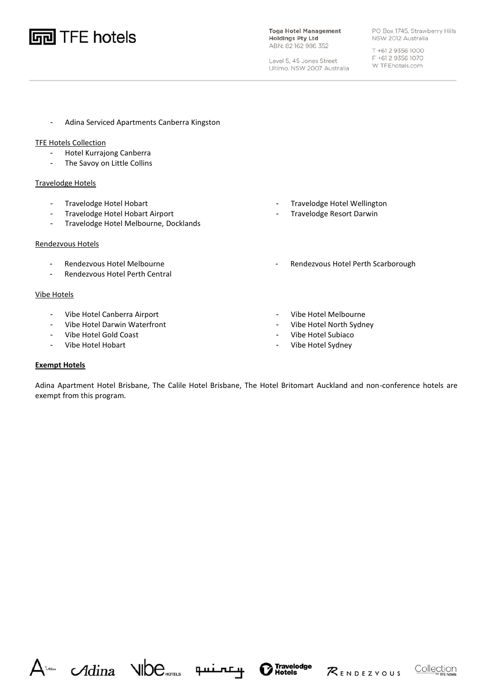

**Toga Hotel Management Holdings Pty Ltd** ABN: 82 162 986 352

Level 5, 45 Jones Street

Ultimo, NSW 2007 Australia

PO Box 1745, Strawberry Hills NSW 2012 Australia

T +61 2 9356 1000 F +61 2 9356 1070 W TFEhotels.com

- Adina Serviced Apartments Canberra Kingston

# TFE Hotels Collection

- Hotel Kurrajong Canberra
- The Savoy on Little Collins

### Travelodge Hotels

- Travelodge Hotel Hobart
- Travelodge Hotel Hobart Airport
- Travelodge Hotel Melbourne, Docklands

### Rendezvous Hotels

- Rendezvous Hotel Melbourne
- Rendezvous Hotel Perth Central

### Vibe Hotels

- Vibe Hotel Canberra Airport
- Vibe Hotel Darwin Waterfront
- Vibe Hotel Gold Coast
- Vibe Hotel Hobart
- Travelodge Hotel Wellington
- Travelodge Resort Darwin
- Rendezvous Hotel Perth Scarborough
- Vibe Hotel Melbourne
- Vibe Hotel North Sydney
- Vibe Hotel Subiaco
- Vibe Hotel Sydney

## **Exempt Hotels**

Adina Apartment Hotel Brisbane, The Calile Hotel Brisbane, The Hotel Britomart Auckland and non-conference hotels are exempt from this program.